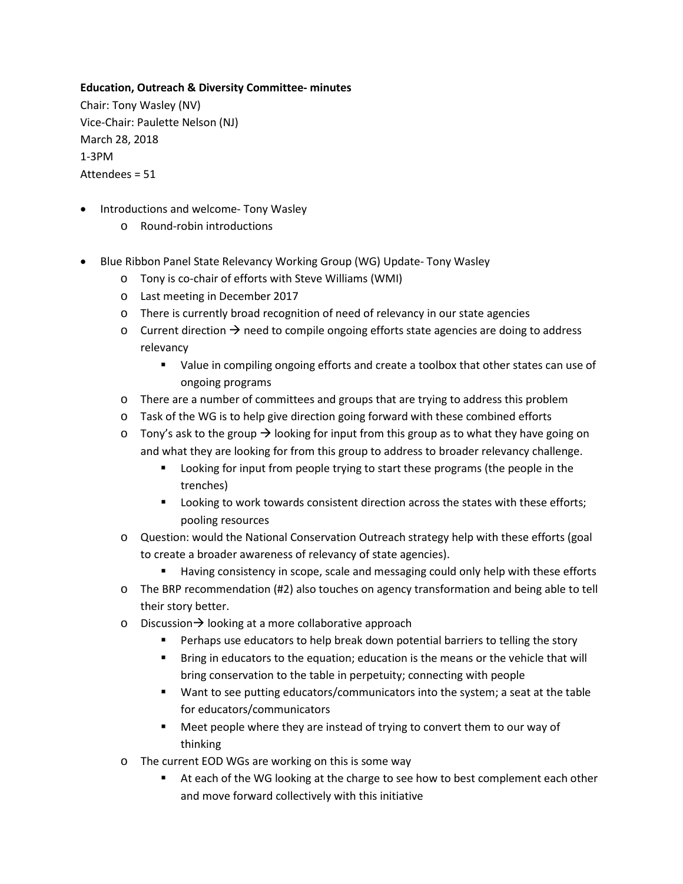## **Education, Outreach & Diversity Committee- minutes**

Chair: Tony Wasley (NV) Vice-Chair: Paulette Nelson (NJ) March 28, 2018 1-3PM Attendees = 51

- Introductions and welcome- Tony Wasley
	- o Round-robin introductions
- Blue Ribbon Panel State Relevancy Working Group (WG) Update- Tony Wasley
	- o Tony is co-chair of efforts with Steve Williams (WMI)
	- o Last meeting in December 2017
	- o There is currently broad recognition of need of relevancy in our state agencies
	- $\circ$  Current direction  $\rightarrow$  need to compile ongoing efforts state agencies are doing to address relevancy
		- Value in compiling ongoing efforts and create a toolbox that other states can use of ongoing programs
	- o There are a number of committees and groups that are trying to address this problem
	- o Task of the WG is to help give direction going forward with these combined efforts
	- $\circ$  Tony's ask to the group  $\rightarrow$  looking for input from this group as to what they have going on and what they are looking for from this group to address to broader relevancy challenge.
		- **EXEDENT** Looking for input from people trying to start these programs (the people in the trenches)
		- **Looking to work towards consistent direction across the states with these efforts;** pooling resources
	- o Question: would the National Conservation Outreach strategy help with these efforts (goal to create a broader awareness of relevancy of state agencies).
		- Having consistency in scope, scale and messaging could only help with these efforts
	- o The BRP recommendation (#2) also touches on agency transformation and being able to tell their story better.
	- o Discussion  $\rightarrow$  looking at a more collaborative approach
		- **Perhaps use educators to help break down potential barriers to telling the story**
		- Bring in educators to the equation; education is the means or the vehicle that will bring conservation to the table in perpetuity; connecting with people
		- Want to see putting educators/communicators into the system; a seat at the table for educators/communicators
		- Meet people where they are instead of trying to convert them to our way of thinking
	- o The current EOD WGs are working on this is some way
		- At each of the WG looking at the charge to see how to best complement each other and move forward collectively with this initiative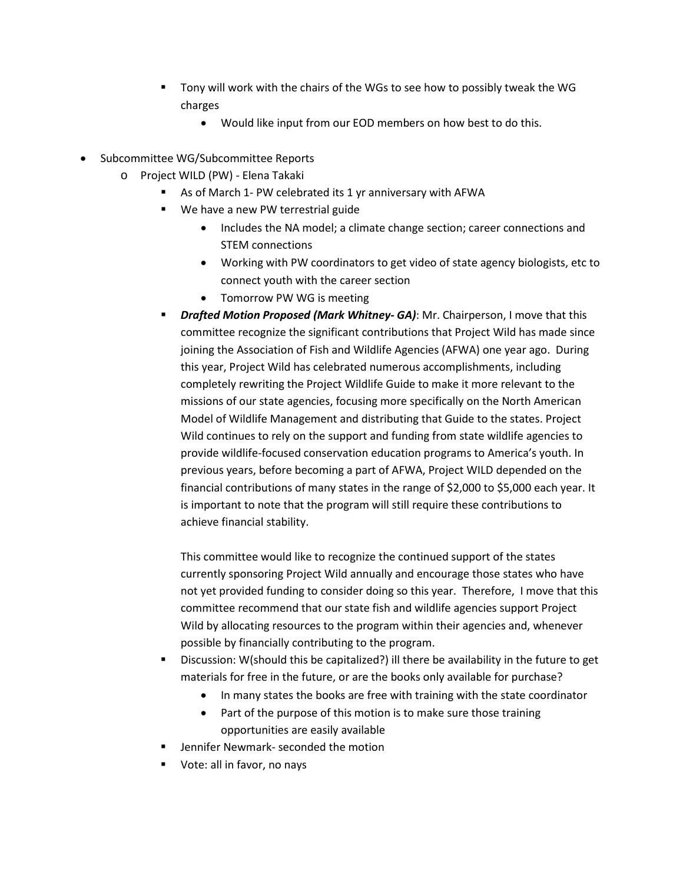- Tony will work with the chairs of the WGs to see how to possibly tweak the WG charges
	- Would like input from our EOD members on how best to do this.
- Subcommittee WG/Subcommittee Reports
	- o Project WILD (PW) Elena Takaki
		- As of March 1- PW celebrated its 1 yr anniversary with AFWA
		- We have a new PW terrestrial guide
			- Includes the NA model; a climate change section; career connections and STEM connections
			- Working with PW coordinators to get video of state agency biologists, etc to connect youth with the career section
			- Tomorrow PW WG is meeting
		- *Drafted Motion Proposed (Mark Whitney- GA)*: Mr. Chairperson, I move that this committee recognize the significant contributions that Project Wild has made since joining the Association of Fish and Wildlife Agencies (AFWA) one year ago. During this year, Project Wild has celebrated numerous accomplishments, including completely rewriting the Project Wildlife Guide to make it more relevant to the missions of our state agencies, focusing more specifically on the North American Model of Wildlife Management and distributing that Guide to the states. Project Wild continues to rely on the support and funding from state wildlife agencies to provide wildlife-focused conservation education programs to America's youth. In previous years, before becoming a part of AFWA, Project WILD depended on the financial contributions of many states in the range of \$2,000 to \$5,000 each year. It is important to note that the program will still require these contributions to achieve financial stability.

This committee would like to recognize the continued support of the states currently sponsoring Project Wild annually and encourage those states who have not yet provided funding to consider doing so this year. Therefore, I move that this committee recommend that our state fish and wildlife agencies support Project Wild by allocating resources to the program within their agencies and, whenever possible by financially contributing to the program.

- Discussion: W(should this be capitalized?) ill there be availability in the future to get materials for free in the future, or are the books only available for purchase?
	- In many states the books are free with training with the state coordinator
	- Part of the purpose of this motion is to make sure those training opportunities are easily available
- Jennifer Newmark- seconded the motion
- **Vote: all in favor, no nays**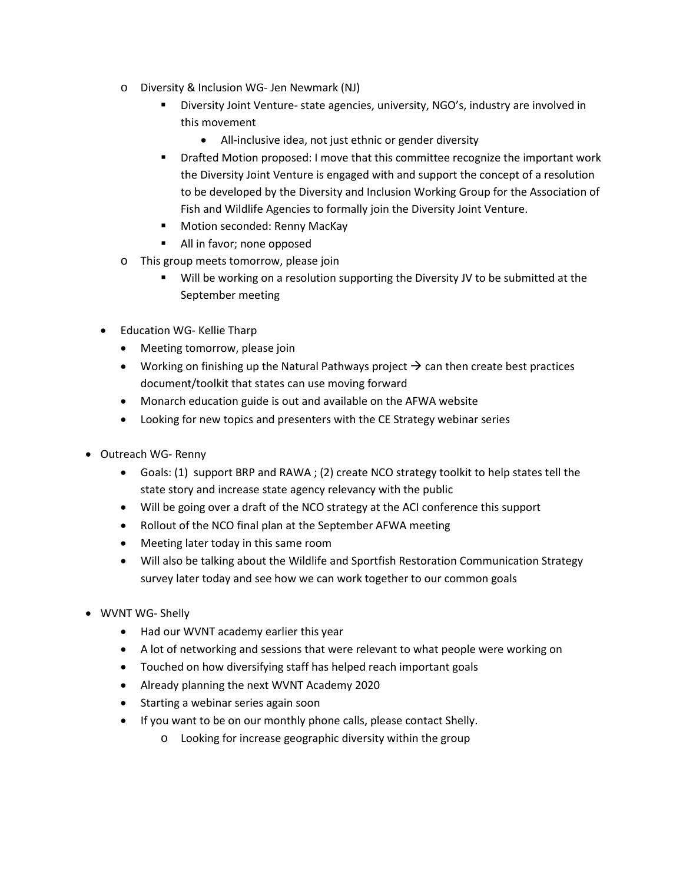- o Diversity & Inclusion WG- Jen Newmark (NJ)
	- Diversity Joint Venture- state agencies, university, NGO's, industry are involved in this movement
		- All-inclusive idea, not just ethnic or gender diversity
	- Drafted Motion proposed: I move that this committee recognize the important work the Diversity Joint Venture is engaged with and support the concept of a resolution to be developed by the Diversity and Inclusion Working Group for the Association of Fish and Wildlife Agencies to formally join the Diversity Joint Venture.
	- **Motion seconded: Renny MacKay**
	- **All in favor; none opposed**
- o This group meets tomorrow, please join
	- Will be working on a resolution supporting the Diversity JV to be submitted at the September meeting
- Education WG- Kellie Tharp
	- Meeting tomorrow, please join
	- Working on finishing up the Natural Pathways project  $\rightarrow$  can then create best practices document/toolkit that states can use moving forward
	- Monarch education guide is out and available on the AFWA website
	- Looking for new topics and presenters with the CE Strategy webinar series
- Outreach WG- Renny
	- Goals: (1) support BRP and RAWA ; (2) create NCO strategy toolkit to help states tell the state story and increase state agency relevancy with the public
	- Will be going over a draft of the NCO strategy at the ACI conference this support
	- Rollout of the NCO final plan at the September AFWA meeting
	- Meeting later today in this same room
	- Will also be talking about the Wildlife and Sportfish Restoration Communication Strategy survey later today and see how we can work together to our common goals
- WVNT WG- Shelly
	- Had our WVNT academy earlier this year
	- A lot of networking and sessions that were relevant to what people were working on
	- Touched on how diversifying staff has helped reach important goals
	- Already planning the next WVNT Academy 2020
	- Starting a webinar series again soon
	- If you want to be on our monthly phone calls, please contact Shelly.
		- o Looking for increase geographic diversity within the group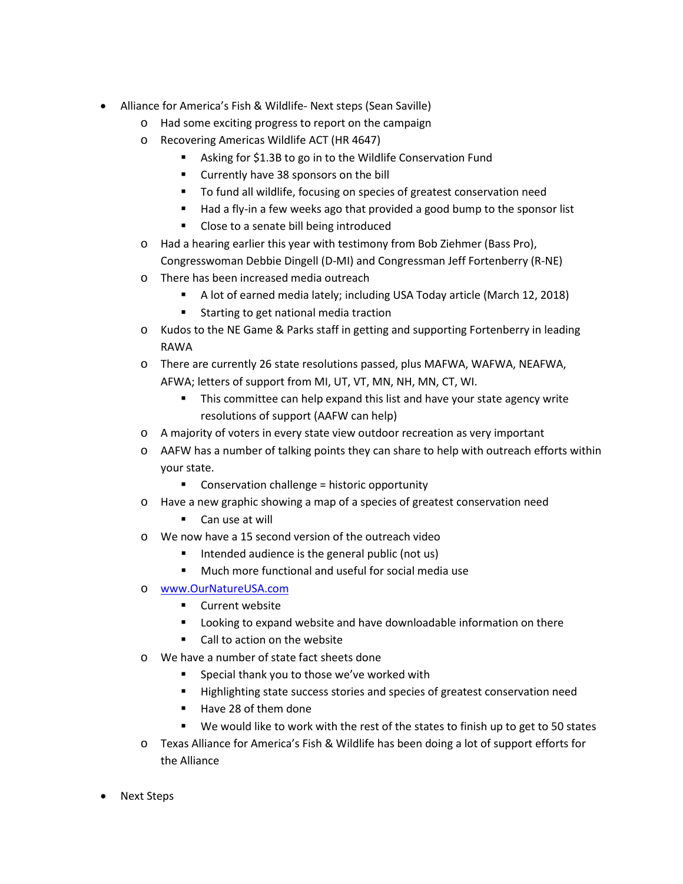- Alliance for America's Fish & Wildlife- Next steps (Sean Saville)
	- o Had some exciting progress to report on the campaign
	- o Recovering Americas Wildlife ACT (HR 4647)
		- Asking for \$1.3B to go in to the Wildlife Conservation Fund
		- **E** Currently have 38 sponsors on the bill
		- To fund all wildlife, focusing on species of greatest conservation need
		- Had a fly-in a few weeks ago that provided a good bump to the sponsor list
		- **Close to a senate bill being introduced**
	- o Had a hearing earlier this year with testimony from Bob Ziehmer (Bass Pro), Congresswoman Debbie Dingell (D-MI) and Congressman Jeff Fortenberry (R-NE)
	- o There has been increased media outreach
		- A lot of earned media lately; including USA Today article (March 12, 2018)
		- **Starting to get national media traction**
	- o Kudos to the NE Game & Parks staff in getting and supporting Fortenberry in leading RAWA
	- o There are currently 26 state resolutions passed, plus MAFWA, WAFWA, NEAFWA, AFWA; letters of support from MI, UT, VT, MN, NH, MN, CT, WI.
		- **This committee can help expand this list and have your state agency write** resolutions of support (AAFW can help)
	- o A majority of voters in every state view outdoor recreation as very important
	- o AAFW has a number of talking points they can share to help with outreach efforts within your state.
		- **EXECONSERVATED CONSERVATION CONSERVATION CONSERVATION**
	- o Have a new graphic showing a map of a species of greatest conservation need
		- Can use at will
	- o We now have a 15 second version of the outreach video
		- Intended audience is the general public (not us)
		- Much more functional and useful for social media use
	- o [www.OurNatureUSA.com](http://www.ournatureusa.com/)
		- **E** Current website
		- **EXECT** Looking to expand website and have downloadable information on there
		- Call to action on the website
	- o We have a number of state fact sheets done
		- Special thank you to those we've worked with
		- Highlighting state success stories and species of greatest conservation need
		- Have 28 of them done
		- We would like to work with the rest of the states to finish up to get to 50 states
	- o Texas Alliance for America's Fish & Wildlife has been doing a lot of support efforts for the Alliance
- Next Steps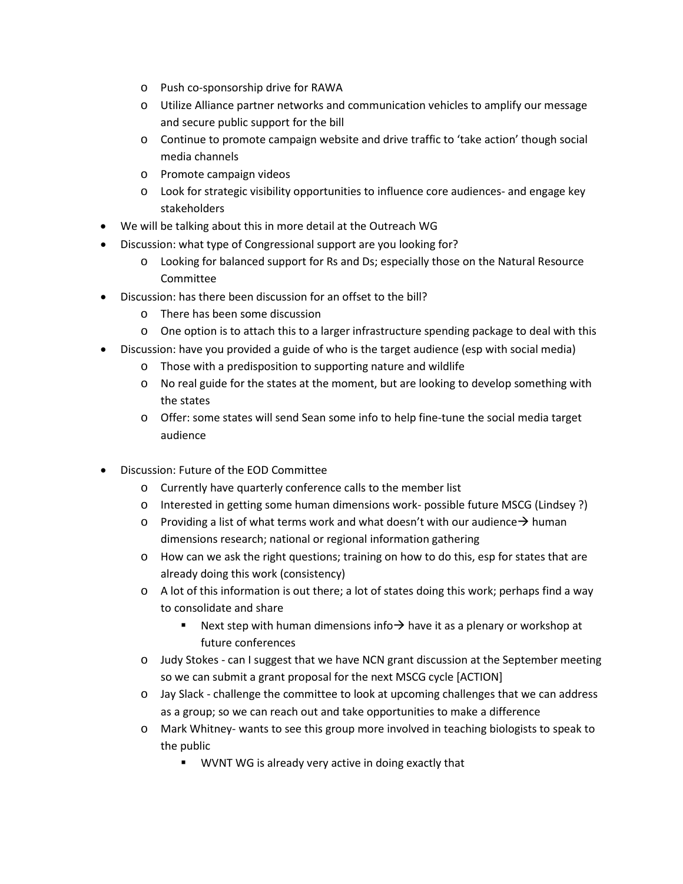- o Push co-sponsorship drive for RAWA
- o Utilize Alliance partner networks and communication vehicles to amplify our message and secure public support for the bill
- o Continue to promote campaign website and drive traffic to 'take action' though social media channels
- o Promote campaign videos
- o Look for strategic visibility opportunities to influence core audiences- and engage key stakeholders
- We will be talking about this in more detail at the Outreach WG
- Discussion: what type of Congressional support are you looking for?
	- o Looking for balanced support for Rs and Ds; especially those on the Natural Resource Committee
- Discussion: has there been discussion for an offset to the bill?
	- o There has been some discussion
	- o One option is to attach this to a larger infrastructure spending package to deal with this
- Discussion: have you provided a guide of who is the target audience (esp with social media)
	- o Those with a predisposition to supporting nature and wildlife
	- o No real guide for the states at the moment, but are looking to develop something with the states
	- o Offer: some states will send Sean some info to help fine-tune the social media target audience
- Discussion: Future of the EOD Committee
	- o Currently have quarterly conference calls to the member list
	- o Interested in getting some human dimensions work- possible future MSCG (Lindsey ?)
	- $\circ$  Providing a list of what terms work and what doesn't with our audience  $\rightarrow$  human dimensions research; national or regional information gathering
	- o How can we ask the right questions; training on how to do this, esp for states that are already doing this work (consistency)
	- $\circ$  A lot of this information is out there; a lot of states doing this work; perhaps find a way to consolidate and share
		- Next step with human dimensions info  $\rightarrow$  have it as a plenary or workshop at future conferences
	- o Judy Stokes can I suggest that we have NCN grant discussion at the September meeting so we can submit a grant proposal for the next MSCG cycle [ACTION]
	- o Jay Slack challenge the committee to look at upcoming challenges that we can address as a group; so we can reach out and take opportunities to make a difference
	- o Mark Whitney- wants to see this group more involved in teaching biologists to speak to the public
		- **WVNT WG is already very active in doing exactly that**